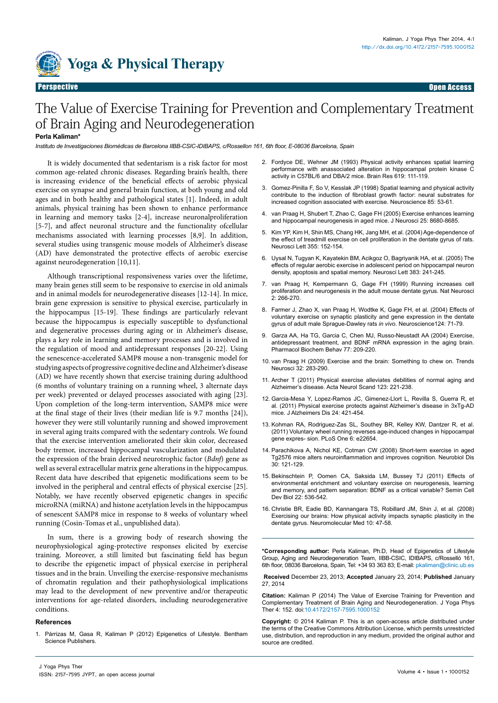

# The Value of Exercise Training for Prevention and Complementary Treatment of Brain Aging and Neurodegeneration

### **Perla Kaliman\***

*Instituto de Investigaciones Biomédicas de Barcelona IIBB-CSIC-IDIBAPS, c/Rossellon 161, 6th floor, E-08036 Barcelona, Spain*

It is widely documented that sedentarism is a risk factor for most common age-related chronic diseases. Regarding brain's health, there is increasing evidence of the beneficial effects of aerobic physical exercise on synapse and general brain function, at both young and old ages and in both healthy and pathological states [1]. Indeed, in adult animals, physical training has been shown to enhance performance in learning and memory tasks [2-4], increase neuronalproliferation [5-7], and affect neuronal structure and the functionality ofcellular mechanisms associated with learning processes [8,9]. In addition, several studies using transgenic mouse models of Alzheimer's disease (AD) have demonstrated the protective effects of aerobic exercise against neurodegeneration [10,11].

Although transcriptional responsiveness varies over the lifetime, many brain genes still seem to be responsive to exercise in old animals and in animal models for neurodegenerative diseases [12-14]. In mice, brain gene expression is sensitive to physical exercise, particularly in the hippocampus [15-19]. These findings are particularly relevant because the hippocampus is especially susceptible to dysfunctional and degenerative processes during aging or in Alzheimer's disease, plays a key role in learning and memory processes and is involved in the regulation of mood and antidepressant responses [20-22]. Using the senescence-accelerated SAMP8 mouse a non-transgenic model for studying aspects of progressive cognitive decline and Alzheimer's disease (AD) we have recently shown that exercise training during adulthood (6 months of voluntary training on a running wheel, 3 alternate days per week) prevented or delayed processes associated with aging [23]. Upon completion of the long-term intervention, SAMP8 mice were at the final stage of their lives (their median life is 9.7 months [24]), however they were still voluntarily running and showed improvement in several aging traits compared with the sedentary controls. We found that the exercise intervention ameliorated their skin color, decreased body tremor, increased hippocampal vascularization and modulated the expression of the brain derived neurotrophic factor (*Bdnf*) gene as well as several extracellular matrix gene alterations in the hippocampus. Recent data have described that epigenetic modifications seem to be involved in the peripheral and central effects of physical exercise [25]. Notably, we have recently observed epigenetic changes in specific microRNA (miRNA) and histone acetylation levels in the hippocampus of senescent SAMP8 mice in response to 8 weeks of voluntary wheel running (Cosin-Tomas et al., unpublished data).

In sum, there is a growing body of research showing the neurophysiological aging-protective responses elicited by exercise training. Moreover, a still limited but fascinating field has begun to describe the epigenetic impact of physical exercise in peripheral tissues and in the brain. Unveiling the exercise-responsive mechanisms of chromatin regulation and their pathophysiological implications may lead to the development of new preventive and/or therapeutic interventions for age-related disorders, including neurodegenerative conditions.

#### **References**

1. Párrizas M, Gasa R, Kaliman P (2012) Epigenetics of Lifestyle. Bentham Science Publishers.

- 2. [Fordyce DE, Wehner JM \(1993\) Physical activity enhances spatial learning](http://www.ncbi.nlm.nih.gov/pubmed/8374769)  [performance with anassociated alteration in hippocampal protein kinase C](http://www.ncbi.nlm.nih.gov/pubmed/8374769)  [activity in C57BL/6 and DBA/2 mice. Brain Res 619: 111-119.](http://www.ncbi.nlm.nih.gov/pubmed/8374769)
- 3. [Gomez-Pinilla F, So V, Kesslak JP \(1998\) Spatial learning and physical activity](http://www.ncbi.nlm.nih.gov/pubmed/9607702)  [contribute to the induction of fibroblast growth factor: neural substrates for](http://www.ncbi.nlm.nih.gov/pubmed/9607702)  [increased cognition associated with exercise. Neuroscience 85: 53-61.](http://www.ncbi.nlm.nih.gov/pubmed/9607702)
- 4. [van Praag H, Shubert T, Zhao C, Gage FH \(2005\) Exercise enhances learning](http://www.ncbi.nlm.nih.gov/pubmed/16177036)  [and hippocampal neurogenesis in aged mice. J Neurosci 25: 8680-8685.](http://www.ncbi.nlm.nih.gov/pubmed/16177036)
- 5. [Kim YP, Kim H, Shin MS, Chang HK, Jang MH, et al. \(2004\) Age-dependence of](http://www.ncbi.nlm.nih.gov/pubmed/14729257)  [the effect of treadmill exercise on cell proliferation in the dentate gyrus of rats.](http://www.ncbi.nlm.nih.gov/pubmed/14729257)  [Neurosci Lett 355: 152-154.](http://www.ncbi.nlm.nih.gov/pubmed/14729257)
- 6. [Uysal N, Tugyan K, Kayatekin BM, Acikgoz O, Bagriyanik HA, et al. \(2005\) The](http://www.ncbi.nlm.nih.gov/pubmed/15878799)  [effects of regular aerobic exercise in adolescent period on hippocampal neuron](http://www.ncbi.nlm.nih.gov/pubmed/15878799)  [density, apoptosis and spatial memory. Neurosci Lett 383: 241-245](http://www.ncbi.nlm.nih.gov/pubmed/15878799).
- 7. [van Praag H, Kempermann G, Gage FH \(1999\) Running increases cell](http://www.nature.com/neuro/journal/v2/n3/full/nn0399_266.html)  [proliferation and neurogenesis in the adult mouse dentate gyrus. Nat Neurosci](http://www.nature.com/neuro/journal/v2/n3/full/nn0399_266.html)  [2: 266-270.](http://www.nature.com/neuro/journal/v2/n3/full/nn0399_266.html)
- 8. [Farmer J, Zhao X, van Praag H, Wodtke K, Gage FH, et al. \(2004\) Effects of](http://www.ncbi.nlm.nih.gov/pubmed/14960340)  [voluntary exercise on synaptic plasticity and gene expression in the dentate](http://www.ncbi.nlm.nih.gov/pubmed/14960340)  [gyrus of adult male Sprague-Dawley rats](http://www.ncbi.nlm.nih.gov/pubmed/14960340) *in vivo*. Neuroscience124: 71-79.
- 9. [Garza AA, Ha TG, Garcia C, Chen MJ, Russo-Neustadt AA \(2004\) Exercise,](http://www.ncbi.nlm.nih.gov/pubmed/14751447)  [antidepressant treatment, and BDNF mRNA expression in the aging brain.](http://www.ncbi.nlm.nih.gov/pubmed/14751447)  [Pharmacol Biochem Behav 77: 209-220.](http://www.ncbi.nlm.nih.gov/pubmed/14751447)
- 10. [van Praag H \(2009\) Exercise and the brain: Something to chew on. Trends](http://www.ncbi.nlm.nih.gov/pubmed/19349082)  [Neurosci 32: 283-290.](http://www.ncbi.nlm.nih.gov/pubmed/19349082)
- 11. [Archer T \(2011\) Physical exercise alleviates debilities of normal aging and](http://www.ncbi.nlm.nih.gov/pubmed/20880302)  [Alzheimer's disease. Acta Neurol Scand 123: 221-238.](http://www.ncbi.nlm.nih.gov/pubmed/20880302)
- 12. [Garcia-Mesa Y, Lopez-Ramos JC, Gimenez-Llort L, Revilla S, Guerra R, et](http://www.ncbi.nlm.nih.gov/pubmed/21297257)  [al. \(2011\) Physical exercise protects against Alzheimer's disease in 3xTg-AD](http://www.ncbi.nlm.nih.gov/pubmed/21297257)  [mice. J Alzheimers Dis 24: 421-454.](http://www.ncbi.nlm.nih.gov/pubmed/21297257)
- 13. [Kohman RA, Rodriguez-Zas SL, Southey BR, Kelley KW, Dantzer R, et al.](http://www.ncbi.nlm.nih.gov/pubmed/21857943)  [\(2011\) Voluntary wheel running reverses age-induced changes in hippocampal](http://www.ncbi.nlm.nih.gov/pubmed/21857943)  [gene expres- sion. PLoS One 6: e22654.](http://www.ncbi.nlm.nih.gov/pubmed/21857943)
- 14. [Parachikova A, Nichol KE, Cotman CW \(2008\) Short-term exercise in aged](http://www.ncbi.nlm.nih.gov/pubmed/18258444)  [Tg2576 mice alters neuroinflammation and improves cognition. Neurobiol Dis](http://www.ncbi.nlm.nih.gov/pubmed/18258444)  [30: 121-129.](http://www.ncbi.nlm.nih.gov/pubmed/18258444)
- 15. [Bekinschtein P, Oomen CA, Saksida LM, Bussey TJ \(2011\) Effects of](http://www.ncbi.nlm.nih.gov/pubmed/21767656)  [environmental enrichment and voluntary exercise on neurogenesis, learning](http://www.ncbi.nlm.nih.gov/pubmed/21767656)  [and memory, and pattern separation: BDNF as a critical variable? Semin Cell](http://www.ncbi.nlm.nih.gov/pubmed/21767656)  [Dev Biol 22: 536-542.](http://www.ncbi.nlm.nih.gov/pubmed/21767656)
- 16. [Christie BR, Eadie BD, Kannangara TS, Robillard JM, Shin J, et al. \(2008\)](http://www.ncbi.nlm.nih.gov/pubmed/18535925)  [Exercising our brains: How physical activity impacts synaptic plasticity in the](http://www.ncbi.nlm.nih.gov/pubmed/18535925)  [dentate gyrus. Neuromolecular Med 10: 47-58.](http://www.ncbi.nlm.nih.gov/pubmed/18535925)

**\*Corresponding author:** Perla Kaliman, Ph.D, Head of Epigenetics of Lifestyle Group, Aging and Neurodegeneration Team, IIBB-CSIC, IDIBAPS, c/Rosselló 161, 6th floor, 08036 Barcelona, Spain, Tel: +34 93 363 83; E-mail: pkaliman@clinic.ub.es

**Received** December 23, 2013; **Accepted** January 23, 2014; **Published** January 27, 2014

**Citation:** Kaliman P (2014) The Value of Exercise Training for Prevention and Complementary Treatment of Brain Aging and Neurodegeneration. J Yoga Phys Ther 4: 152. doi[:10.4172/2157-7595.10001](http://dx.doi.org/10.4172/2157-7595.1000152)52

**Copyright:** © 2014 Kaliman P. This is an open-access article distributed under the terms of the Creative Commons Attribution License, which permits unrestricted use, distribution, and reproduction in any medium, provided the original author and source are credited.